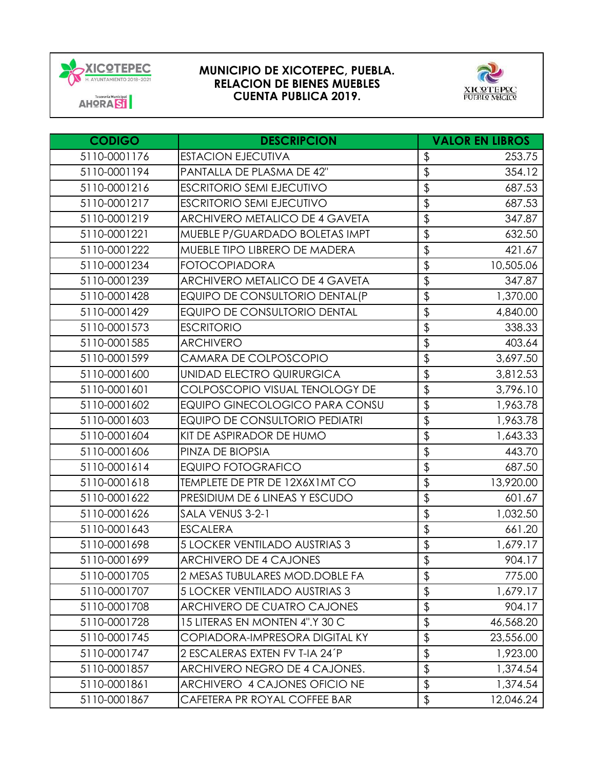



| <b>CODIGO</b> | <b>DESCRIPCION</b>                    |                          | <b>VALOR EN LIBROS</b> |
|---------------|---------------------------------------|--------------------------|------------------------|
| 5110-0001176  | <b>ESTACION EJECUTIVA</b>             | \$                       | 253.75                 |
| 5110-0001194  | PANTALLA DE PLASMA DE 42"             | \$                       | 354.12                 |
| 5110-0001216  | <b>ESCRITORIO SEMI EJECUTIVO</b>      | \$                       | 687.53                 |
| 5110-0001217  | <b>ESCRITORIO SEMI EJECUTIVO</b>      | \$                       | 687.53                 |
| 5110-0001219  | ARCHIVERO METALICO DE 4 GAVETA        | \$                       | 347.87                 |
| 5110-0001221  | MUEBLE P/GUARDADO BOLETAS IMPT        | \$                       | 632.50                 |
| 5110-0001222  | MUEBLE TIPO LIBRERO DE MADERA         | \$                       | 421.67                 |
| 5110-0001234  | <b>FOTOCOPIADORA</b>                  | \$                       | 10,505.06              |
| 5110-0001239  | ARCHIVERO METALICO DE 4 GAVETA        | \$                       | 347.87                 |
| 5110-0001428  | EQUIPO DE CONSULTORIO DENTAL(P        | \$                       | 1,370.00               |
| 5110-0001429  | <b>EQUIPO DE CONSULTORIO DENTAL</b>   | \$                       | 4,840.00               |
| 5110-0001573  | <b>ESCRITORIO</b>                     | \$                       | 338.33                 |
| 5110-0001585  | <b>ARCHIVERO</b>                      | \$                       | 403.64                 |
| 5110-0001599  | CAMARA DE COLPOSCOPIO                 | \$                       | 3,697.50               |
| 5110-0001600  | UNIDAD ELECTRO QUIRURGICA             | \$                       | 3,812.53               |
| 5110-0001601  | COLPOSCOPIO VISUAL TENOLOGY DE        | \$                       | 3,796.10               |
| 5110-0001602  | <b>EQUIPO GINECOLOGICO PARA CONSU</b> | \$                       | 1,963.78               |
| 5110-0001603  | <b>EQUIPO DE CONSULTORIO PEDIATRI</b> | \$                       | 1,963.78               |
| 5110-0001604  | KIT DE ASPIRADOR DE HUMO              | \$                       | 1,643.33               |
| 5110-0001606  | PINZA DE BIOPSIA                      | \$                       | 443.70                 |
| 5110-0001614  | <b>EQUIPO FOTOGRAFICO</b>             | \$                       | 687.50                 |
| 5110-0001618  | TEMPLETE DE PTR DE 12X6X1MT CO        | \$                       | 13,920.00              |
| 5110-0001622  | PRESIDIUM DE 6 LINEAS Y ESCUDO        | \$                       | 601.67                 |
| 5110-0001626  | SALA VENUS 3-2-1                      | \$                       | 1,032.50               |
| 5110-0001643  | <b>ESCALERA</b>                       | \$                       | 661.20                 |
| 5110-0001698  | 5 LOCKER VENTILADO AUSTRIAS 3         | \$                       | 1,679.17               |
| 5110-0001699  | <b>ARCHIVERO DE 4 CAJONES</b>         | \$                       | 904.17                 |
| 5110-0001705  | 2 MESAS TUBULARES MOD.DOBLE FA        | $\frac{1}{2}$            | 775.00                 |
| 5110-0001707  | 5 LOCKER VENTILADO AUSTRIAS 3         | \$                       | 1,679.17               |
| 5110-0001708  | <b>ARCHIVERO DE CUATRO CAJONES</b>    | \$                       | 904.17                 |
| 5110-0001728  | 15 LITERAS EN MONTEN 4".Y 30 C        | $\overline{\mathcal{L}}$ | 46,568.20              |
| 5110-0001745  | COPIADORA-IMPRESORA DIGITAL KY        | \$                       | 23,556.00              |
| 5110-0001747  | 2 ESCALERAS EXTEN FV T-IA 24'P        | \$                       | 1,923.00               |
| 5110-0001857  | ARCHIVERO NEGRO DE 4 CAJONES.         | $\overline{\mathcal{L}}$ | 1,374.54               |
| 5110-0001861  | ARCHIVERO 4 CAJONES OFICIO NE         | \$                       | 1,374.54               |
| 5110-0001867  | CAFETERA PR ROYAL COFFEE BAR          | \$                       | 12,046.24              |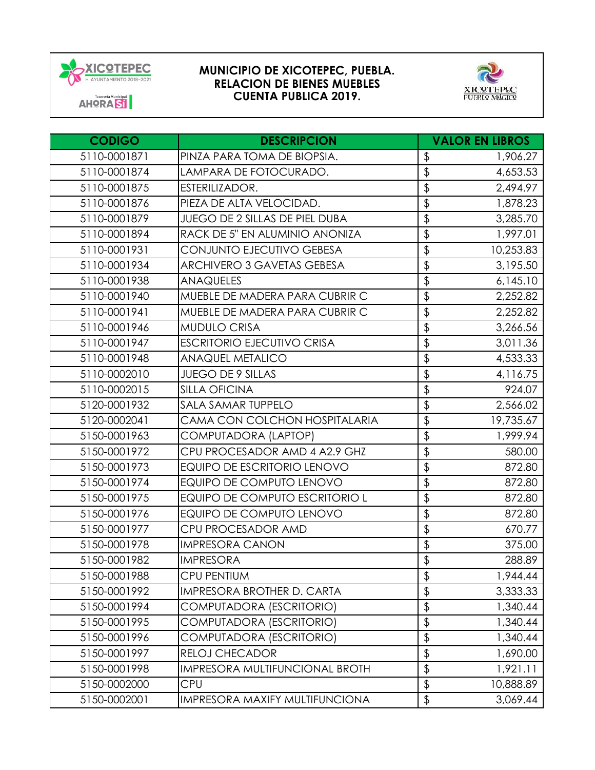



| <b>CODIGO</b> | <b>DESCRIPCION</b>                    | <b>VALOR EN LIBROS</b>   |           |
|---------------|---------------------------------------|--------------------------|-----------|
| 5110-0001871  | PINZA PARA TOMA DE BIOPSIA.           | $\frac{1}{2}$            | 1,906.27  |
| 5110-0001874  | LAMPARA DE FOTOCURADO.                | \$                       | 4,653.53  |
| 5110-0001875  | ESTERILIZADOR.                        | \$                       | 2,494.97  |
| 5110-0001876  | PIEZA DE ALTA VELOCIDAD.              | \$                       | 1,878.23  |
| 5110-0001879  | <b>JUEGO DE 2 SILLAS DE PIEL DUBA</b> | \$                       | 3,285.70  |
| 5110-0001894  | RACK DE 5" EN ALUMINIO ANONIZA        | \$                       | 1,997.01  |
| 5110-0001931  | CONJUNTO EJECUTIVO GEBESA             | \$                       | 10,253.83 |
| 5110-0001934  | <b>ARCHIVERO 3 GAVETAS GEBESA</b>     | \$                       | 3,195.50  |
| 5110-0001938  | <b>ANAQUELES</b>                      | \$                       | 6,145.10  |
| 5110-0001940  | MUEBLE DE MADERA PARA CUBRIR C        | \$                       | 2,252.82  |
| 5110-0001941  | MUEBLE DE MADERA PARA CUBRIR C        | \$                       | 2,252.82  |
| 5110-0001946  | <b>MUDULO CRISA</b>                   | \$                       | 3,266.56  |
| 5110-0001947  | <b>ESCRITORIO EJECUTIVO CRISA</b>     | \$                       | 3,011.36  |
| 5110-0001948  | <b>ANAQUEL METALICO</b>               | \$                       | 4,533.33  |
| 5110-0002010  | <b>JUEGO DE 9 SILLAS</b>              | \$                       | 4,116.75  |
| 5110-0002015  | <b>SILLA OFICINA</b>                  | \$                       | 924.07    |
| 5120-0001932  | SALA SAMAR TUPPELO                    | $\overline{\mathcal{L}}$ | 2,566.02  |
| 5120-0002041  | CAMA CON COLCHON HOSPITALARIA         | \$                       | 19,735.67 |
| 5150-0001963  | COMPUTADORA (LAPTOP)                  | \$                       | 1,999.94  |
| 5150-0001972  | CPU PROCESADOR AMD 4 A2.9 GHZ         | \$                       | 580.00    |
| 5150-0001973  | <b>EQUIPO DE ESCRITORIO LENOVO</b>    | \$                       | 872.80    |
| 5150-0001974  | EQUIPO DE COMPUTO LENOVO              | \$                       | 872.80    |
| 5150-0001975  | EQUIPO DE COMPUTO ESCRITORIO L        | \$                       | 872.80    |
| 5150-0001976  | EQUIPO DE COMPUTO LENOVO              | \$                       | 872.80    |
| 5150-0001977  | CPU PROCESADOR AMD                    | \$                       | 670.77    |
| 5150-0001978  | <b>IMPRESORA CANON</b>                | \$                       | 375.00    |
| 5150-0001982  | <b>IMPRESORA</b>                      | \$                       | 288.89    |
| 5150-0001988  | <b>CPU PENTIUM</b>                    | $\frac{1}{2}$            | 1,944.44  |
| 5150-0001992  | IMPRESORA BROTHER D. CARTA            | \$                       | 3,333.33  |
| 5150-0001994  | COMPUTADORA (ESCRITORIO)              | \$                       | 1,340.44  |
| 5150-0001995  | COMPUTADORA (ESCRITORIO)              | \$                       | 1,340.44  |
| 5150-0001996  | COMPUTADORA (ESCRITORIO)              | \$                       | 1,340.44  |
| 5150-0001997  | <b>RELOJ CHECADOR</b>                 | \$                       | 1,690.00  |
| 5150-0001998  | <b>IMPRESORA MULTIFUNCIONAL BROTH</b> | \$                       | 1,921.11  |
| 5150-0002000  | CPU                                   | \$                       | 10,888.89 |
| 5150-0002001  | IMPRESORA MAXIFY MULTIFUNCIONA        | \$                       | 3,069.44  |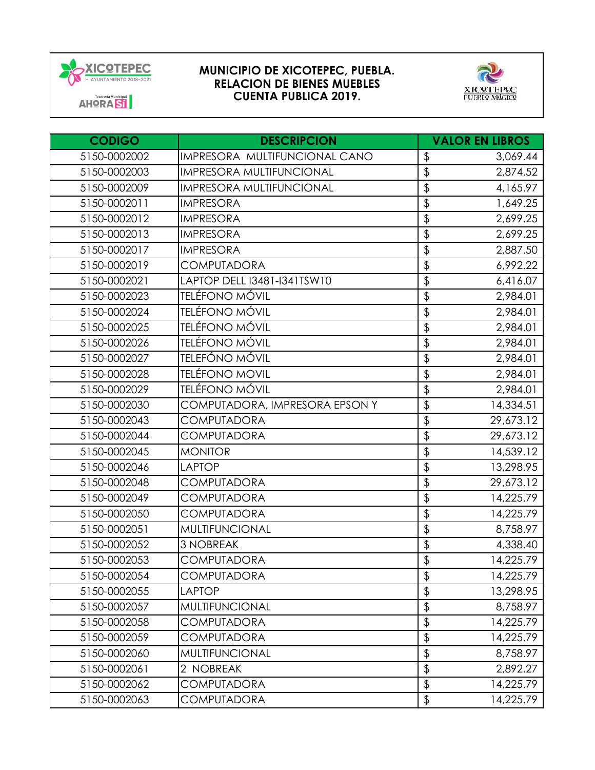



| <b>CODIGO</b> | <b>DESCRIPCION</b>              |                 | <b>VALOR EN LIBROS</b> |
|---------------|---------------------------------|-----------------|------------------------|
| 5150-0002002  | IMPRESORA MULTIFUNCIONAL CANO   | \$              | 3,069.44               |
| 5150-0002003  | <b>IMPRESORA MULTIFUNCIONAL</b> | \$              | 2,874.52               |
| 5150-0002009  | <b>IMPRESORA MULTIFUNCIONAL</b> | \$              | 4,165.97               |
| 5150-0002011  | <b>IMPRESORA</b>                | \$              | 1,649.25               |
| 5150-0002012  | <b>IMPRESORA</b>                | \$              | 2,699.25               |
| 5150-0002013  | <b>IMPRESORA</b>                | \$              | 2,699.25               |
| 5150-0002017  | <b>IMPRESORA</b>                | \$              | 2,887.50               |
| 5150-0002019  | <b>COMPUTADORA</b>              | \$              | 6,992.22               |
| 5150-0002021  | LAPTOP DELL I3481-I341TSW10     | \$              | 6,416.07               |
| 5150-0002023  | <b>TELÉFONO MÓVIL</b>           | $\frac{1}{2}$   | 2,984.01               |
| 5150-0002024  | <b>TELÉFONO MÓVIL</b>           | \$              | 2,984.01               |
| 5150-0002025  | <b>TELÉFONO MÓVIL</b>           | \$              | 2,984.01               |
| 5150-0002026  | TELÉFONO MÓVIL                  | $\frac{1}{2}$   | 2,984.01               |
| 5150-0002027  | TELEFÓNO MÓVIL                  | \$              | 2,984.01               |
| 5150-0002028  | <b>TELÉFONO MOVIL</b>           | \$              | 2,984.01               |
| 5150-0002029  | <b>TELÉFONO MÓVIL</b>           | \$              | 2,984.01               |
| 5150-0002030  | COMPUTADORA, IMPRESORA EPSON Y  | \$              | 14,334.51              |
| 5150-0002043  | <b>COMPUTADORA</b>              | \$              | 29,673.12              |
| 5150-0002044  | <b>COMPUTADORA</b>              | \$              | 29,673.12              |
| 5150-0002045  | <b>MONITOR</b>                  | \$              | 14,539.12              |
| 5150-0002046  | <b>LAPTOP</b>                   | \$              | 13,298.95              |
| 5150-0002048  | <b>COMPUTADORA</b>              | \$              | 29,673.12              |
| 5150-0002049  | <b>COMPUTADORA</b>              | \$              | 14,225.79              |
| 5150-0002050  | <b>COMPUTADORA</b>              | \$              | 14,225.79              |
| 5150-0002051  | <b>MULTIFUNCIONAL</b>           | \$              | 8,758.97               |
| 5150-0002052  | <b>3 NOBREAK</b>                | \$              | 4,338.40               |
| 5150-0002053  | <b>COMPUTADORA</b>              | $\overline{\$}$ | 14,225.79              |
| 5150-0002054  | <b>COMPUTADORA</b>              | \$              | 14,225.79              |
| 5150-0002055  | <b>LAPTOP</b>                   | \$              | 13,298.95              |
| 5150-0002057  | <b>MULTIFUNCIONAL</b>           | \$              | 8,758.97               |
| 5150-0002058  | COMPUTADORA                     | \$              | 14,225.79              |
| 5150-0002059  | <b>COMPUTADORA</b>              | \$              | 14,225.79              |
| 5150-0002060  | <b>MULTIFUNCIONAL</b>           | \$              | 8,758.97               |
| 5150-0002061  | 2 NOBREAK                       | \$              | 2,892.27               |
| 5150-0002062  | <b>COMPUTADORA</b>              | $\updownarrow$  | 14,225.79              |
| 5150-0002063  | <b>COMPUTADORA</b>              | \$              | 14,225.79              |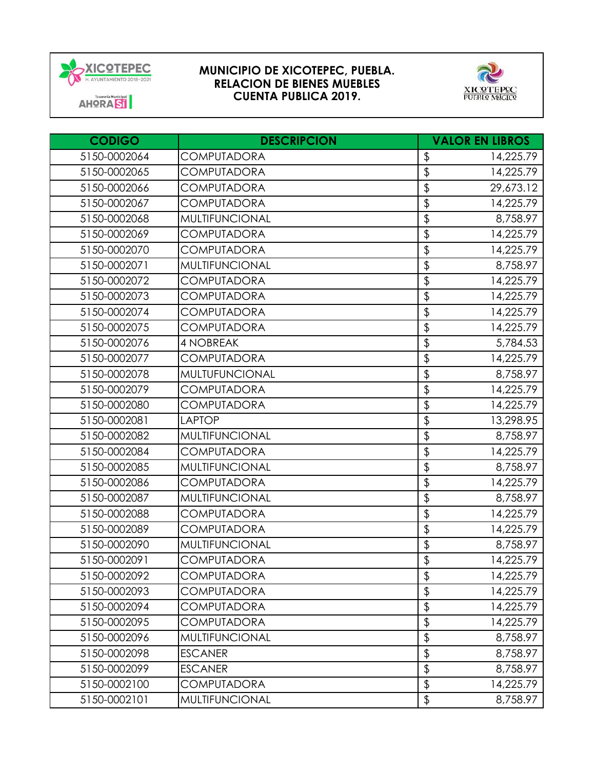



| <b>CODIGO</b> | <b>DESCRIPCION</b>    | <b>VALOR EN LIBROS</b>   |           |
|---------------|-----------------------|--------------------------|-----------|
| 5150-0002064  | <b>COMPUTADORA</b>    | \$                       | 14,225.79 |
| 5150-0002065  | <b>COMPUTADORA</b>    | \$                       | 14,225.79 |
| 5150-0002066  | <b>COMPUTADORA</b>    | \$                       | 29,673.12 |
| 5150-0002067  | <b>COMPUTADORA</b>    | \$                       | 14,225.79 |
| 5150-0002068  | <b>MULTIFUNCIONAL</b> | \$                       | 8,758.97  |
| 5150-0002069  | <b>COMPUTADORA</b>    | \$                       | 14,225.79 |
| 5150-0002070  | <b>COMPUTADORA</b>    | \$                       | 14,225.79 |
| 5150-0002071  | <b>MULTIFUNCIONAL</b> | $\overline{\mathbf{P}}$  | 8,758.97  |
| 5150-0002072  | <b>COMPUTADORA</b>    | \$                       | 14,225.79 |
| 5150-0002073  | <b>COMPUTADORA</b>    | \$                       | 14,225.79 |
| 5150-0002074  | <b>COMPUTADORA</b>    | \$                       | 14,225.79 |
| 5150-0002075  | <b>COMPUTADORA</b>    | \$                       | 14,225.79 |
| 5150-0002076  | <b>4 NOBREAK</b>      | \$                       | 5,784.53  |
| 5150-0002077  | <b>COMPUTADORA</b>    | \$                       | 14,225.79 |
| 5150-0002078  | MULTUFUNCIONAL        | \$                       | 8,758.97  |
| 5150-0002079  | <b>COMPUTADORA</b>    | \$                       | 14,225.79 |
| 5150-0002080  | <b>COMPUTADORA</b>    | \$                       | 14,225.79 |
| 5150-0002081  | <b>LAPTOP</b>         | \$                       | 13,298.95 |
| 5150-0002082  | <b>MULTIFUNCIONAL</b> | \$                       | 8,758.97  |
| 5150-0002084  | <b>COMPUTADORA</b>    | \$                       | 14,225.79 |
| 5150-0002085  | <b>MULTIFUNCIONAL</b> | \$                       | 8,758.97  |
| 5150-0002086  | <b>COMPUTADORA</b>    | \$                       | 14,225.79 |
| 5150-0002087  | <b>MULTIFUNCIONAL</b> | \$                       | 8,758.97  |
| 5150-0002088  | <b>COMPUTADORA</b>    | $\overline{\mathcal{L}}$ | 14,225.79 |
| 5150-0002089  | <b>COMPUTADORA</b>    | \$                       | 14,225.79 |
| 5150-0002090  | <b>MULTIFUNCIONAL</b> | $\overline{\mathbf{P}}$  | 8,758.97  |
| 5150-0002091  | <b>COMPUTADORA</b>    | \$                       | 14,225.79 |
| 5150-0002092  | <b>COMPUTADORA</b>    | \$                       | 14,225.79 |
| 5150-0002093  | <b>COMPUTADORA</b>    | $\frac{1}{2}$            | 14,225.79 |
| 5150-0002094  | <b>COMPUTADORA</b>    | \$                       | 14,225.79 |
| 5150-0002095  | <b>COMPUTADORA</b>    | \$                       | 14,225.79 |
| 5150-0002096  | <b>MULTIFUNCIONAL</b> | \$                       | 8,758.97  |
| 5150-0002098  | <b>ESCANER</b>        | \$                       | 8,758.97  |
| 5150-0002099  | <b>ESCANER</b>        | \$                       | 8,758.97  |
| 5150-0002100  | <b>COMPUTADORA</b>    | $\updownarrow$           | 14,225.79 |
| 5150-0002101  | MULTIFUNCIONAL        | \$                       | 8,758.97  |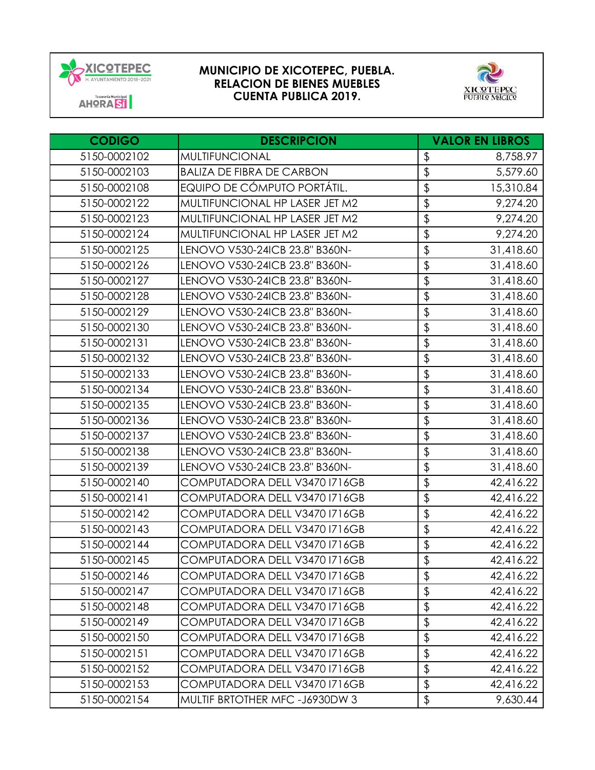



| <b>CODIGO</b> | <b>DESCRIPCION</b>               | <b>VALOR EN LIBROS</b>                 |
|---------------|----------------------------------|----------------------------------------|
| 5150-0002102  | <b>MULTIFUNCIONAL</b>            | \$<br>8,758.97                         |
| 5150-0002103  | <b>BALIZA DE FIBRA DE CARBON</b> | \$<br>5,579.60                         |
| 5150-0002108  | EQUIPO DE CÓMPUTO PORTÁTIL.      | \$<br>15,310.84                        |
| 5150-0002122  | MULTIFUNCIONAL HP LASER JET M2   | \$<br>9,274.20                         |
| 5150-0002123  | MULTIFUNCIONAL HP LASER JET M2   | $\overline{\mathcal{L}}$<br>9,274.20   |
| 5150-0002124  | MULTIFUNCIONAL HP LASER JET M2   | \$<br>9,274.20                         |
| 5150-0002125  | LENOVO V530-24ICB 23.8" B360N-   | \$<br>31,418.60                        |
| 5150-0002126  | LENOVO V530-24ICB 23.8" B360N-   | $\overline{\mathcal{L}}$<br>31,418.60  |
| 5150-0002127  | LENOVO V530-24ICB 23.8" B360N-   | \$<br>31,418.60                        |
| 5150-0002128  | LENOVO V530-24ICB 23.8" B360N-   | $\overline{\varphi}$<br>31,418.60      |
| 5150-0002129  | LENOVO V530-24ICB 23.8" B360N-   | $\overline{\mathcal{L}}$<br>31,418.60  |
| 5150-0002130  | LENOVO V530-24ICB 23.8" B360N-   | \$<br>31,418.60                        |
| 5150-0002131  | LENOVO V530-24ICB 23.8" B360N-   | $\overline{\mathcal{L}}$<br>31,418.60  |
| 5150-0002132  | LENOVO V530-24ICB 23.8" B360N-   | $\overline{\mathcal{L}}$<br>31,418.60  |
| 5150-0002133  | LENOVO V530-24ICB 23.8" B360N-   | $\overline{\mathcal{L}}$<br>31,418.60  |
| 5150-0002134  | LENOVO V530-24ICB 23.8" B360N-   | $\overline{\mathcal{L}}$<br>31,418.60  |
| 5150-0002135  | LENOVO V530-24ICB 23.8" B360N-   | $\overline{\mathfrak{s}}$<br>31,418.60 |
| 5150-0002136  | LENOVO V530-24ICB 23.8" B360N-   | $\overline{\mathcal{L}}$<br>31,418.60  |
| 5150-0002137  | LENOVO V530-24ICB 23.8" B360N-   | $\frac{1}{2}$<br>31,418.60             |
| 5150-0002138  | LENOVO V530-24ICB 23.8" B360N-   | $\overline{\varphi}$<br>31,418.60      |
| 5150-0002139  | LENOVO V530-24ICB 23.8" B360N-   | \$<br>31,418.60                        |
| 5150-0002140  | COMPUTADORA DELL V3470 1716GB    | $\overline{\mathcal{L}}$<br>42,416.22  |
| 5150-0002141  | COMPUTADORA DELL V3470 1716GB    | $\overline{\varphi}$<br>42,416.22      |
| 5150-0002142  | COMPUTADORA DELL V3470 1716GB    | \$<br>42,416.22                        |
| 5150-0002143  | COMPUTADORA DELL V3470 1716GB    | \$<br>42,416.22                        |
| 5150-0002144  | COMPUTADORA DELL V3470 1716GB    | $\overline{\mathcal{L}}$<br>42,416.22  |
| 5150-0002145  | COMPUTADORA DELL V3470 1716GB    | $\overline{\mathfrak{s}}$<br>42,416.22 |
| 5150-0002146  | COMPUTADORA DELL V3470 1716GB    | \$<br>42,416.22                        |
| 5150-0002147  | COMPUTADORA DELL V3470 1716GB    | $\updownarrow$<br>42,416.22            |
| 5150-0002148  | COMPUTADORA DELL V3470 1716GB    | \$<br>42,416.22                        |
| 5150-0002149  | COMPUTADORA DELL V3470 1716GB    | \$<br>42,416.22                        |
| 5150-0002150  | COMPUTADORA DELL V3470 1716GB    | $\updownarrow$<br>42,416.22            |
| 5150-0002151  | COMPUTADORA DELL V3470 1716GB    | \$<br>42,416.22                        |
| 5150-0002152  | COMPUTADORA DELL V3470 1716GB    | \$<br>42,416.22                        |
| 5150-0002153  | COMPUTADORA DELL V3470 1716GB    | \$<br>42,416.22                        |
| 5150-0002154  | MULTIF BRTOTHER MFC -J6930DW 3   | \$<br>9,630.44                         |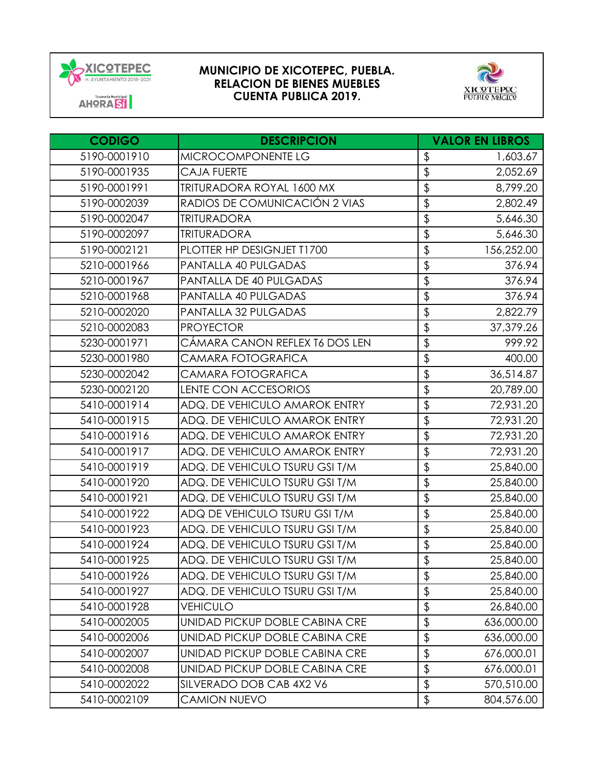



| <b>CODIGO</b> | <b>DESCRIPCION</b>               | <b>VALOR EN LIBROS</b>    |            |
|---------------|----------------------------------|---------------------------|------------|
| 5190-0001910  | MICROCOMPONENTE LG               | $\frac{1}{2}$             | 1,603.67   |
| 5190-0001935  | <b>CAJA FUERTE</b>               | $\overline{\$}$           | 2,052.69   |
| 5190-0001991  | <b>TRITURADORA ROYAL 1600 MX</b> | \$                        | 8,799.20   |
| 5190-0002039  | RADIOS DE COMUNICACIÓN 2 VIAS    | \$                        | 2,802.49   |
| 5190-0002047  | <b>TRITURADORA</b>               | \$                        | 5,646.30   |
| 5190-0002097  | <b>TRITURADORA</b>               | \$                        | 5,646.30   |
| 5190-0002121  | PLOTTER HP DESIGNJET T1700       | \$                        | 156,252.00 |
| 5210-0001966  | PANTALLA 40 PULGADAS             | $\overline{\mathfrak{s}}$ | 376.94     |
| 5210-0001967  | PANTALLA DE 40 PULGADAS          | \$                        | 376.94     |
| 5210-0001968  | PANTALLA 40 PULGADAS             | \$                        | 376.94     |
| 5210-0002020  | PANTALLA 32 PULGADAS             | \$                        | 2,822.79   |
| 5210-0002083  | <b>PROYECTOR</b>                 | \$                        | 37,379.26  |
| 5230-0001971  | CÁMARA CANON REFLEX T6 DOS LEN   | \$                        | 999.92     |
| 5230-0001980  | CAMARA FOTOGRAFICA               | \$                        | 400.00     |
| 5230-0002042  | CAMARA FOTOGRAFICA               | \$                        | 36,514.87  |
| 5230-0002120  | <b>LENTE CON ACCESORIOS</b>      | \$                        | 20,789.00  |
| 5410-0001914  | ADQ. DE VEHICULO AMAROK ENTRY    | $\overline{\mathcal{L}}$  | 72,931.20  |
| 5410-0001915  | ADQ. DE VEHICULO AMAROK ENTRY    | \$                        | 72,931.20  |
| 5410-0001916  | ADQ. DE VEHICULO AMAROK ENTRY    | \$                        | 72,931.20  |
| 5410-0001917  | ADQ. DE VEHICULO AMAROK ENTRY    | \$                        | 72,931.20  |
| 5410-0001919  | ADQ. DE VEHICULO TSURU GSI T/M   | \$                        | 25,840.00  |
| 5410-0001920  | ADQ. DE VEHICULO TSURU GSI T/M   | \$                        | 25,840.00  |
| 5410-0001921  | ADQ. DE VEHICULO TSURU GSI T/M   | \$                        | 25,840.00  |
| 5410-0001922  | ADQ DE VEHICULO TSURU GSI T/M    | \$                        | 25,840.00  |
| 5410-0001923  | ADQ. DE VEHICULO TSURU GSI T/M   | \$                        | 25,840.00  |
| 5410-0001924  | ADQ. DE VEHICULO TSURU GSI T/M   | \$                        | 25,840.00  |
| 5410-0001925  | ADQ. DE VEHICULO TSURU GSI T/M   | \$                        | 25,840.00  |
| 5410-0001926  | ADQ. DE VEHICULO TSURU GSI T/M   | \$                        | 25,840.00  |
| 5410-0001927  | ADQ. DE VEHICULO TSURU GSI T/M   | \$                        | 25,840.00  |
| 5410-0001928  | <b>VEHICULO</b>                  | \$                        | 26,840.00  |
| 5410-0002005  | UNIDAD PICKUP DOBLE CABINA CRE   | \$                        | 636,000.00 |
| 5410-0002006  | UNIDAD PICKUP DOBLE CABINA CRE   | \$                        | 636,000.00 |
| 5410-0002007  | UNIDAD PICKUP DOBLE CABINA CRE   | \$                        | 676,000.01 |
| 5410-0002008  | UNIDAD PICKUP DOBLE CABINA CRE   | \$                        | 676,000.01 |
| 5410-0002022  | SILVERADO DOB CAB 4X2 V6         | \$                        | 570,510.00 |
| 5410-0002109  | <b>CAMION NUEVO</b>              | \$                        | 804,576.00 |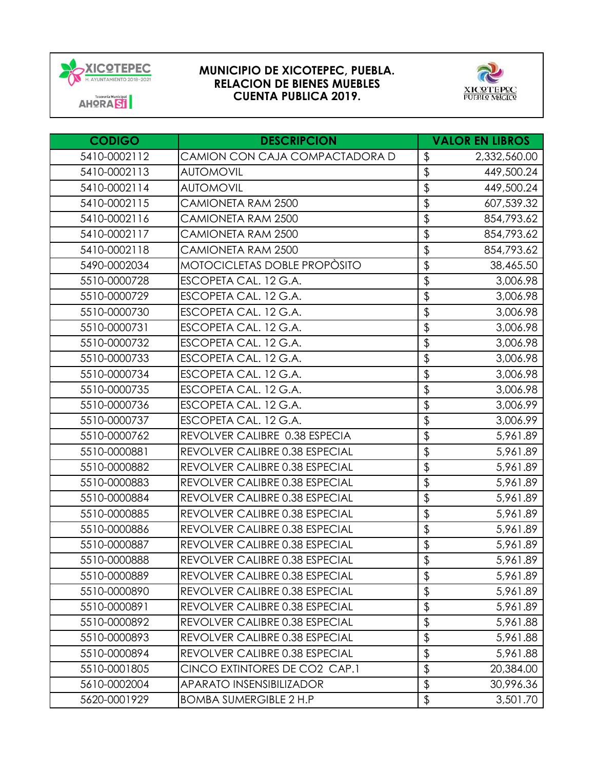



| <b>CODIGO</b> | <b>DESCRIPCION</b>              |                           | <b>VALOR EN LIBROS</b> |
|---------------|---------------------------------|---------------------------|------------------------|
| 5410-0002112  | CAMION CON CAJA COMPACTADORA D  | \$                        | 2,332,560.00           |
| 5410-0002113  | <b>AUTOMOVIL</b>                | \$                        | 449,500.24             |
| 5410-0002114  | <b>AUTOMOVIL</b>                | \$                        | 449,500.24             |
| 5410-0002115  | CAMIONETA RAM 2500              | \$                        | 607,539.32             |
| 5410-0002116  | CAMIONETA RAM 2500              | \$                        | 854,793.62             |
| 5410-0002117  | CAMIONETA RAM 2500              | \$                        | 854,793.62             |
| 5410-0002118  | CAMIONETA RAM 2500              | \$                        | 854,793.62             |
| 5490-0002034  | MOTOCICLETAS DOBLE PROPÒSITO    | \$                        | 38,465.50              |
| 5510-0000728  | ESCOPETA CAL. 12 G.A.           | \$                        | 3,006.98               |
| 5510-0000729  | ESCOPETA CAL. 12 G.A.           | \$                        | 3,006.98               |
| 5510-0000730  | ESCOPETA CAL. 12 G.A.           | \$                        | 3,006.98               |
| 5510-0000731  | ESCOPETA CAL. 12 G.A.           | \$                        | 3,006.98               |
| 5510-0000732  | ESCOPETA CAL. 12 G.A.           | \$                        | 3,006.98               |
| 5510-0000733  | ESCOPETA CAL. 12 G.A.           | \$                        | 3,006.98               |
| 5510-0000734  | ESCOPETA CAL. 12 G.A.           | \$                        | 3,006.98               |
| 5510-0000735  | ESCOPETA CAL. 12 G.A.           | \$                        | 3,006.98               |
| 5510-0000736  | ESCOPETA CAL. 12 G.A.           | $\overline{\$}$           | 3,006.99               |
| 5510-0000737  | ESCOPETA CAL. 12 G.A.           | \$                        | 3,006.99               |
| 5510-0000762  | REVOLVER CALIBRE 0.38 ESPECIA   | \$                        | 5,961.89               |
| 5510-0000881  | REVOLVER CALIBRE 0.38 ESPECIAL  | $\overline{\$}$           | 5,961.89               |
| 5510-0000882  | REVOLVER CALIBRE 0.38 ESPECIAL  | \$                        | 5,961.89               |
| 5510-0000883  | REVOLVER CALIBRE 0.38 ESPECIAL  | \$                        | 5,961.89               |
| 5510-0000884  | REVOLVER CALIBRE 0.38 ESPECIAL  | $\overline{\mathcal{L}}$  | 5,961.89               |
| 5510-0000885  | REVOLVER CALIBRE 0.38 ESPECIAL  | \$                        | 5,961.89               |
| 5510-0000886  | REVOLVER CALIBRE 0.38 ESPECIAL  | \$                        | 5,961.89               |
| 5510-0000887  | REVOLVER CALIBRE 0.38 ESPECIAL  | \$                        | 5,961.89               |
| 5510-0000888  | REVOLVER CALIBRE 0.38 ESPECIAL  | $\overline{\mathfrak{s}}$ | 5,961.89               |
| 5510-0000889  | REVOLVER CALIBRE 0.38 ESPECIAL  | $\frac{1}{2}$             | 5,961.89               |
| 5510-0000890  | REVOLVER CALIBRE 0.38 ESPECIAL  | $\overline{\mathcal{L}}$  | 5,961.89               |
| 5510-0000891  | REVOLVER CALIBRE 0.38 ESPECIAL  | \$                        | 5,961.89               |
| 5510-0000892  | REVOLVER CALIBRE 0.38 ESPECIAL  | \$                        | 5,961.88               |
| 5510-0000893  | REVOLVER CALIBRE 0.38 ESPECIAL  | \$                        | 5,961.88               |
| 5510-0000894  | REVOLVER CALIBRE 0.38 ESPECIAL  | \$                        | 5,961.88               |
| 5510-0001805  | CINCO EXTINTORES DE CO2 CAP.1   | \$                        | 20,384.00              |
| 5610-0002004  | <b>APARATO INSENSIBILIZADOR</b> | \$                        | 30,996.36              |
| 5620-0001929  | <b>BOMBA SUMERGIBLE 2 H.P</b>   | \$                        | 3,501.70               |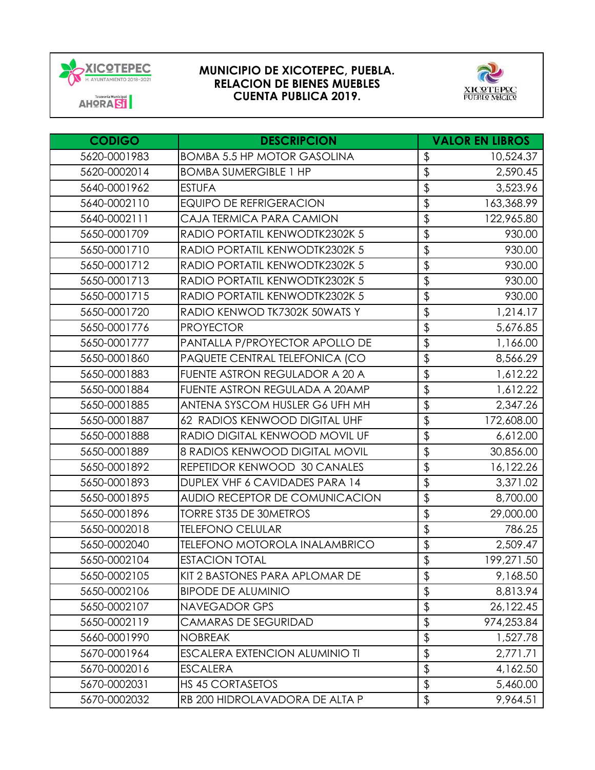



| <b>CODIGO</b> | <b>DESCRIPCION</b>                    |                          | <b>VALOR EN LIBROS</b> |
|---------------|---------------------------------------|--------------------------|------------------------|
| 5620-0001983  | <b>BOMBA 5.5 HP MOTOR GASOLINA</b>    | \$                       | 10,524.37              |
| 5620-0002014  | <b>BOMBA SUMERGIBLE 1 HP</b>          | $\overline{\mathcal{E}}$ | 2,590.45               |
| 5640-0001962  | <b>ESTUFA</b>                         | \$                       | 3,523.96               |
| 5640-0002110  | <b>EQUIPO DE REFRIGERACION</b>        | \$                       | 163,368.99             |
| 5640-0002111  | CAJA TERMICA PARA CAMION              | \$                       | 122,965.80             |
| 5650-0001709  | RADIO PORTATIL KENWODTK2302K 5        | \$                       | 930.00                 |
| 5650-0001710  | RADIO PORTATIL KENWODTK2302K 5        | \$                       | 930.00                 |
| 5650-0001712  | RADIO PORTATIL KENWODTK2302K 5        | $\overline{\mathbf{P}}$  | 930.00                 |
| 5650-0001713  | RADIO PORTATIL KENWODTK2302K 5        | \$                       | 930.00                 |
| 5650-0001715  | RADIO PORTATIL KENWODTK2302K 5        | $\overline{\mathcal{L}}$ | 930.00                 |
| 5650-0001720  | RADIO KENWOD TK7302K 50WATS Y         | $\overline{\mathbf{P}}$  | 1,214.17               |
| 5650-0001776  | <b>PROYECTOR</b>                      | \$                       | 5,676.85               |
| 5650-0001777  | PANTALLA P/PROYECTOR APOLLO DE        | $\overline{\mathcal{E}}$ | 1,166.00               |
| 5650-0001860  | PAQUETE CENTRAL TELEFONICA (CO        | $\overline{\mathbf{P}}$  | 8,566.29               |
| 5650-0001883  | FUENTE ASTRON REGULADOR A 20 A        | $\overline{\mathcal{L}}$ | 1,612.22               |
| 5650-0001884  | FUENTE ASTRON REGULADA A 20AMP        | \$                       | 1,612.22               |
| 5650-0001885  | ANTENA SYSCOM HUSLER G6 UFH MH        | $\overline{\frac{1}{2}}$ | 2,347.26               |
| 5650-0001887  | 62 RADIOS KENWOOD DIGITAL UHF         | $\overline{\mathbf{e}}$  | 172,608.00             |
| 5650-0001888  | RADIO DIGITAL KENWOOD MOVIL UF        | $\frac{1}{2}$            | 6,612.00               |
| 5650-0001889  | 8 RADIOS KENWOOD DIGITAL MOVIL        | $\overline{\mathcal{E}}$ | 30,856.00              |
| 5650-0001892  | REPETIDOR KENWOOD 30 CANALES          | \$                       | 16,122.26              |
| 5650-0001893  | DUPLEX VHF 6 CAVIDADES PARA 14        | $\overline{\mathbf{e}}$  | 3,371.02               |
| 5650-0001895  | AUDIO RECEPTOR DE COMUNICACION        | $\overline{\frac{1}{2}}$ | 8,700.00               |
| 5650-0001896  | <b>TORRE ST35 DE 30METROS</b>         | $\overline{\mathbf{e}}$  | 29,000.00              |
| 5650-0002018  | <b>TELEFONO CELULAR</b>               | \$                       | 786.25                 |
| 5650-0002040  | <b>TELEFONO MOTOROLA INALAMBRICO</b>  | $\overline{\mathbf{P}}$  | 2,509.47               |
| 5650-0002104  | <b>ESTACION TOTAL</b>                 | \$                       | 199,271.50             |
| 5650-0002105  | KIT 2 BASTONES PARA APLOMAR DE        | \$                       | 9,168.50               |
| 5650-0002106  | <b>BIPODE DE ALUMINIO</b>             | \$                       | 8,813.94               |
| 5650-0002107  | <b>NAVEGADOR GPS</b>                  | \$                       | 26,122.45              |
| 5650-0002119  | <b>CAMARAS DE SEGURIDAD</b>           | \$                       | 974,253.84             |
| 5660-0001990  | <b>NOBREAK</b>                        | \$                       | 1,527.78               |
| 5670-0001964  | <b>ESCALERA EXTENCION ALUMINIO TI</b> | \$                       | 2,771.71               |
| 5670-0002016  | <b>ESCALERA</b>                       | \$                       | 4,162.50               |
| 5670-0002031  | <b>HS 45 CORTASETOS</b>               | $\updownarrow$           | 5,460.00               |
| 5670-0002032  | RB 200 HIDROLAVADORA DE ALTA P        | \$                       | 9,964.51               |